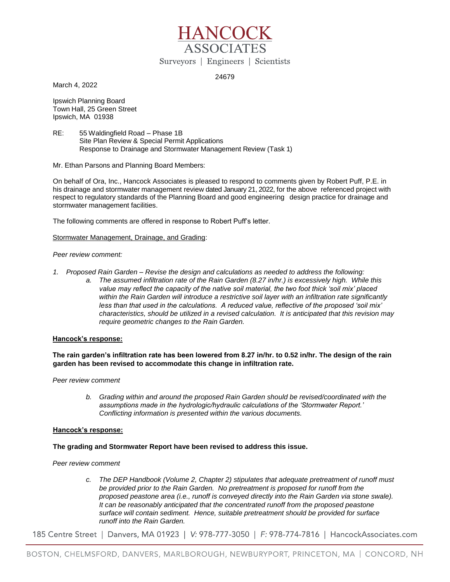

24679

March 4, 2022

Ipswich Planning Board Town Hall, 25 Green Street Ipswich, MA 01938

RE: 55 Waldingfield Road – Phase 1B Site Plan Review & Special Permit Applications Response to Drainage and Stormwater Management Review (Task 1)

Mr. Ethan Parsons and Planning Board Members:

On behalf of Ora, Inc., Hancock Associates is pleased to respond to comments given by Robert Puff, P.E. in his drainage and stormwater management review dated January 21, 2022, for the above referenced project with respect to regulatory standards of the Planning Board and good engineering design practice for drainage and stormwater management facilities.

The following comments are offered in response to Robert Puff's letter.

## Stormwater Management, Drainage, and Grading:

### *Peer review comment:*

- *1. Proposed Rain Garden – Revise the design and calculations as needed to address the following:* 
	- *a. The assumed infiltration rate of the Rain Garden (8.27 in/hr.) is excessively high. While this value may reflect the capacity of the native soil material, the two foot thick 'soil mix' placed*  within the Rain Garden will introduce a restrictive soil layer with an infiltration rate significantly *less than that used in the calculations. A reduced value, reflective of the proposed 'soil mix' characteristics, should be utilized in a revised calculation. It is anticipated that this revision may require geometric changes to the Rain Garden.*

### **Hancock's response:**

# **The rain garden's infiltration rate has been lowered from 8.27 in/hr. to 0.52 in/hr. The design of the rain garden has been revised to accommodate this change in infiltration rate.**

*Peer review comment*

*b. Grading within and around the proposed Rain Garden should be revised/coordinated with the assumptions made in the hydrologic/hydraulic calculations of the 'Stormwater Report.' Conflicting information is presented within the various documents.* 

### **Hancock's response:**

# **The grading and Stormwater Report have been revised to address this issue.**

*Peer review comment*

*c. The DEP Handbook (Volume 2, Chapter 2) stipulates that adequate pretreatment of runoff must be provided prior to the Rain Garden. No pretreatment is proposed for runoff from the proposed peastone area (i.e., runoff is conveyed directly into the Rain Garden via stone swale). It can be reasonably anticipated that the concentrated runoff from the proposed peastone surface will contain sediment. Hence, suitable pretreatment should be provided for surface runoff into the Rain Garden.* 

185 Centre Street | Danvers, MA 01923 | V: 978-777-3050 | F: 978-774-7816 | HancockAssociates.com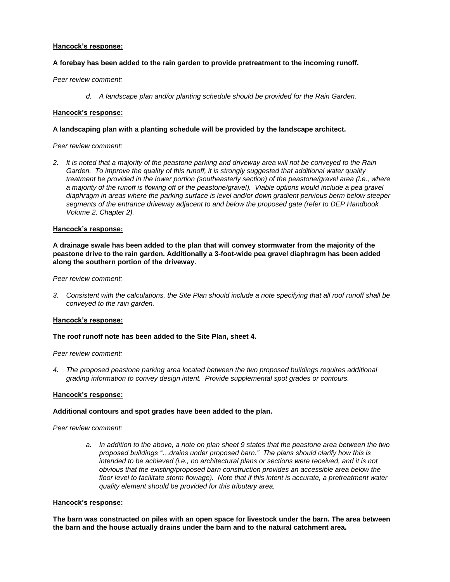### **Hancock's response:**

## **A forebay has been added to the rain garden to provide pretreatment to the incoming runoff.**

### *Peer review comment:*

*d. A landscape plan and/or planting schedule should be provided for the Rain Garden.*

### **Hancock's response:**

## **A landscaping plan with a planting schedule will be provided by the landscape architect.**

### *Peer review comment:*

*2. It is noted that a majority of the peastone parking and driveway area will not be conveyed to the Rain Garden. To improve the quality of this runoff, it is strongly suggested that additional water quality treatment be provided in the lower portion (southeasterly section) of the peastone/gravel area (i.e., where a majority of the runoff is flowing off of the peastone/gravel). Viable options would include a pea gravel diaphragm in areas where the parking surface is level and/or down gradient pervious berm below steeper segments of the entrance driveway adjacent to and below the proposed gate (refer to DEP Handbook Volume 2, Chapter 2).*

### **Hancock's response:**

**A drainage swale has been added to the plan that will convey stormwater from the majority of the peastone drive to the rain garden. Additionally a 3-foot-wide pea gravel diaphragm has been added along the southern portion of the driveway.**

#### *Peer review comment:*

*3. Consistent with the calculations, the Site Plan should include a note specifying that all roof runoff shall be conveyed to the rain garden.* 

### **Hancock's response:**

## **The roof runoff note has been added to the Site Plan, sheet 4.**

### *Peer review comment:*

*4. The proposed peastone parking area located between the two proposed buildings requires additional grading information to convey design intent. Provide supplemental spot grades or contours.* 

#### **Hancock's response:**

### **Additional contours and spot grades have been added to the plan.**

*Peer review comment:*

*a. In addition to the above, a note on plan sheet 9 states that the peastone area between the two proposed buildings "…drains under proposed barn." The plans should clarify how this is intended to be achieved (i.e., no architectural plans or sections were received, and it is not obvious that the existing/proposed barn construction provides an accessible area below the floor level to facilitate storm flowage). Note that if this intent is accurate, a pretreatment water quality element should be provided for this tributary area.* 

#### **Hancock's response:**

**The barn was constructed on piles with an open space for livestock under the barn. The area between the barn and the house actually drains under the barn and to the natural catchment area.**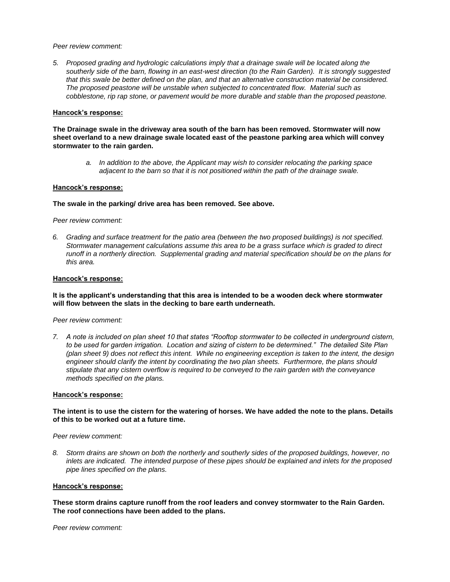#### *Peer review comment:*

*5. Proposed grading and hydrologic calculations imply that a drainage swale will be located along the southerly side of the barn, flowing in an east-west direction (to the Rain Garden). It is strongly suggested that this swale be better defined on the plan, and that an alternative construction material be considered. The proposed peastone will be unstable when subjected to concentrated flow. Material such as cobblestone, rip rap stone, or pavement would be more durable and stable than the proposed peastone.*

### **Hancock's response:**

**The Drainage swale in the driveway area south of the barn has been removed. Stormwater will now sheet overland to a new drainage swale located east of the peastone parking area which will convey stormwater to the rain garden.**

*a. In addition to the above, the Applicant may wish to consider relocating the parking space adjacent to the barn so that it is not positioned within the path of the drainage swale.* 

### **Hancock's response:**

### **The swale in the parking/ drive area has been removed. See above.**

*Peer review comment:*

*6. Grading and surface treatment for the patio area (between the two proposed buildings) is not specified. Stormwater management calculations assume this area to be a grass surface which is graded to direct runoff in a northerly direction. Supplemental grading and material specification should be on the plans for this area.* 

### **Hancock's response:**

**It is the applicant's understanding that this area is intended to be a wooden deck where stormwater will flow between the slats in the decking to bare earth underneath.**

*Peer review comment:*

*7. A note is included on plan sheet 10 that states "Rooftop stormwater to be collected in underground cistern, to be used for garden irrigation. Location and sizing of cistern to be determined." The detailed Site Plan (plan sheet 9) does not reflect this intent. While no engineering exception is taken to the intent, the design engineer should clarify the intent by coordinating the two plan sheets. Furthermore, the plans should stipulate that any cistern overflow is required to be conveyed to the rain garden with the conveyance methods specified on the plans.* 

#### **Hancock's response:**

**The intent is to use the cistern for the watering of horses. We have added the note to the plans. Details of this to be worked out at a future time.**

*Peer review comment:*

*8. Storm drains are shown on both the northerly and southerly sides of the proposed buildings, however, no inlets are indicated. The intended purpose of these pipes should be explained and inlets for the proposed pipe lines specified on the plans.* 

#### **Hancock's response:**

**These storm drains capture runoff from the roof leaders and convey stormwater to the Rain Garden. The roof connections have been added to the plans.**

*Peer review comment:*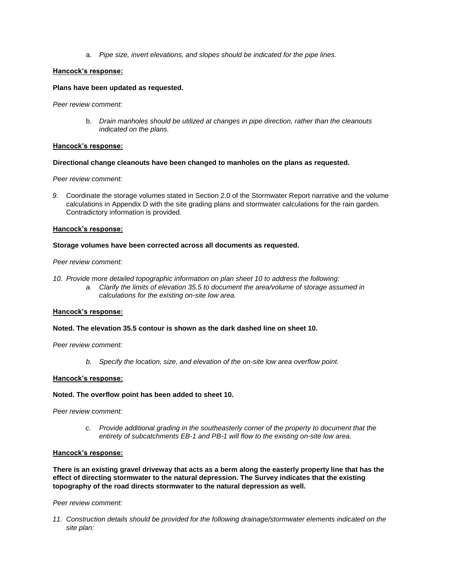a. *Pipe size, invert elevations, and slopes should be indicated for the pipe lines.* 

### **Hancock's response:**

### **Plans have been updated as requested.**

*Peer review comment:*

b. *Drain manholes should be utilized at changes in pipe direction, rather than the cleanouts indicated on the plans.* 

#### **Hancock's response:**

#### **Directional change cleanouts have been changed to manholes on the plans as requested.**

*Peer review comment:*

*9.* Coordinate the storage volumes stated in Section 2.0 of the Stormwater Report narrative and the volume calculations in Appendix D with the site grading plans and stormwater calculations for the rain garden. Contradictory information is provided.

#### **Hancock's response:**

#### **Storage volumes have been corrected across all documents as requested.**

#### *Peer review comment:*

- *10. Provide more detailed topographic information on plan sheet 10 to address the following:* 
	- *a. Clarify the limits of elevation 35.5 to document the area/volume of storage assumed in calculations for the existing on-site low area.*

#### **Hancock's response:**

#### **Noted. The elevation 35.5 contour is shown as the dark dashed line on sheet 10.**

*Peer review comment:*

*b. Specify the location, size, and elevation of the on-site low area overflow point.* 

#### **Hancock's response:**

#### **Noted. The overflow point has been added to sheet 10.**

*Peer review comment:*

*c. Provide additional grading in the southeasterly corner of the property to document that the entirety of subcatchments EB-1 and PB-1 will flow to the existing on-site low area.* 

## **Hancock's response:**

**There is an existing gravel driveway that acts as a berm along the easterly property line that has the effect of directing stormwater to the natural depression. The Survey indicates that the existing topography of the road directs stormwater to the natural depression as well.**

*Peer review comment:*

*11. Construction details should be provided for the following drainage/stormwater elements indicated on the site plan:*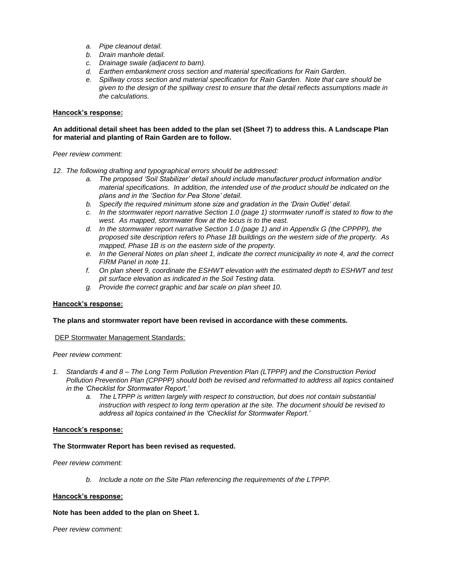- *a. Pipe cleanout detail.*
- *b. Drain manhole detail.*
- *c. Drainage swale (adjacent to barn).*
- *d. Earthen embankment cross section and material specifications for Rain Garden.*
- *e. Spillway cross section and material specification for Rain Garden. Note that care should be given to the design of the spillway crest to ensure that the detail reflects assumptions made in the calculations.*

## **Hancock's response:**

## **An additional detail sheet has been added to the plan set (Sheet 7) to address this. A Landscape Plan for material and planting of Rain Garden are to follow.**

*Peer review comment:*

- *12. The following drafting and typographical errors should be addressed:* 
	- *a. The proposed 'Soil Stabilizer' detail should include manufacturer product information and/or material specifications. In addition, the intended use of the product should be indicated on the plans and in the 'Section for Pea Stone' detail.*
	- *b. Specify the required minimum stone size and gradation in the 'Drain Outlet' detail.*
	- *c. In the stormwater report narrative Section 1.0 (page 1) stormwater runoff is stated to flow to the west. As mapped, stormwater flow at the locus is to the east.*
	- *d. In the stormwater report narrative Section 1.0 (page 1) and in Appendix G (the CPPPP), the proposed site description refers to Phase 1B buildings on the western side of the property. As mapped, Phase 1B is on the eastern side of the property.*
	- *e. In the General Notes on plan sheet 1, indicate the correct municipality in note 4, and the correct FIRM Panel in note 11.*
	- *f. On plan sheet 9, coordinate the ESHWT elevation with the estimated depth to ESHWT and test pit surface elevation as indicated in the Soil Testing data.*
	- *g. Provide the correct graphic and bar scale on plan sheet 10.*

# **Hancock's response:**

### **The plans and stormwater report have been revised in accordance with these comments.**

### DEP Stormwater Management Standards:

*Peer review comment:*

- *1. Standards 4 and 8 – The Long Term Pollution Prevention Plan (LTPPP) and the Construction Period Pollution Prevention Plan (CPPPP) should both be revised and reformatted to address all topics contained in the 'Checklist for Stormwater Report.'* 
	- *a. The LTPPP is written largely with respect to construction, but does not contain substantial instruction with respect to long term operation at the site. The document should be revised to address all topics contained in the 'Checklist for Stormwater Report.'*

### **Hancock's response:**

### **The Stormwater Report has been revised as requested.**

### *Peer review comment:*

*b. Include a note on the Site Plan referencing the requirements of the LTPPP.* 

### **Hancock's response:**

### **Note has been added to the plan on Sheet 1.**

*Peer review comment:*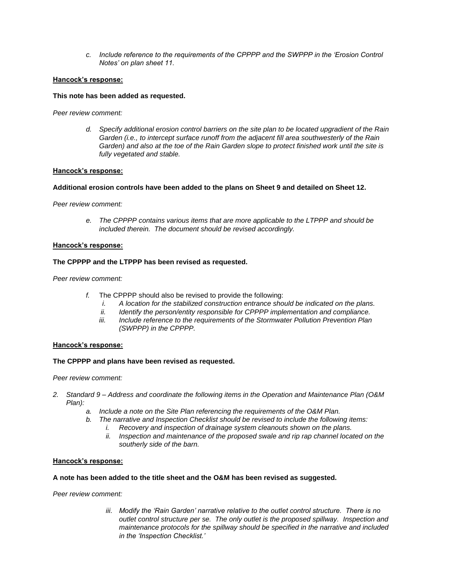*c. Include reference to the requirements of the CPPPP and the SWPPP in the 'Erosion Control Notes' on plan sheet 11.* 

## **Hancock's response:**

## **This note has been added as requested.**

*Peer review comment:*

*d. Specify additional erosion control barriers on the site plan to be located upgradient of the Rain Garden (i.e., to intercept surface runoff from the adjacent fill area southwesterly of the Rain Garden) and also at the toe of the Rain Garden slope to protect finished work until the site is fully vegetated and stable.* 

### **Hancock's response:**

### **Additional erosion controls have been added to the plans on Sheet 9 and detailed on Sheet 12.**

*Peer review comment:*

*e. The CPPPP contains various items that are more applicable to the LTPPP and should be included therein. The document should be revised accordingly.* 

#### **Hancock's response:**

### **The CPPPP and the LTPPP has been revised as requested.**

*Peer review comment:*

- *f.* The CPPPP should also be revised to provide the following:
	- *i. A location for the stabilized construction entrance should be indicated on the plans.*
	- *ii. Identify the person/entity responsible for CPPPP implementation and compliance.*
	- *iii. Include reference to the requirements of the Stormwater Pollution Prevention Plan (SWPPP) in the CPPPP.*

### **Hancock's response:**

### **The CPPPP and plans have been revised as requested.**

*Peer review comment:*

- *2. Standard 9 – Address and coordinate the following items in the Operation and Maintenance Plan (O&M Plan):* 
	- *a. Include a note on the Site Plan referencing the requirements of the O&M Plan.*
	- *b. The narrative and Inspection Checklist should be revised to include the following items:* 
		- *i. Recovery and inspection of drainage system cleanouts shown on the plans.*
		- *ii. Inspection and maintenance of the proposed swale and rip rap channel located on the southerly side of the barn.*

### **Hancock's response:**

### **A note has been added to the title sheet and the O&M has been revised as suggested.**

*Peer review comment:*

*iii. Modify the 'Rain Garden' narrative relative to the outlet control structure. There is no outlet control structure per se. The only outlet is the proposed spillway. Inspection and maintenance protocols for the spillway should be specified in the narrative and included in the 'Inspection Checklist.'*